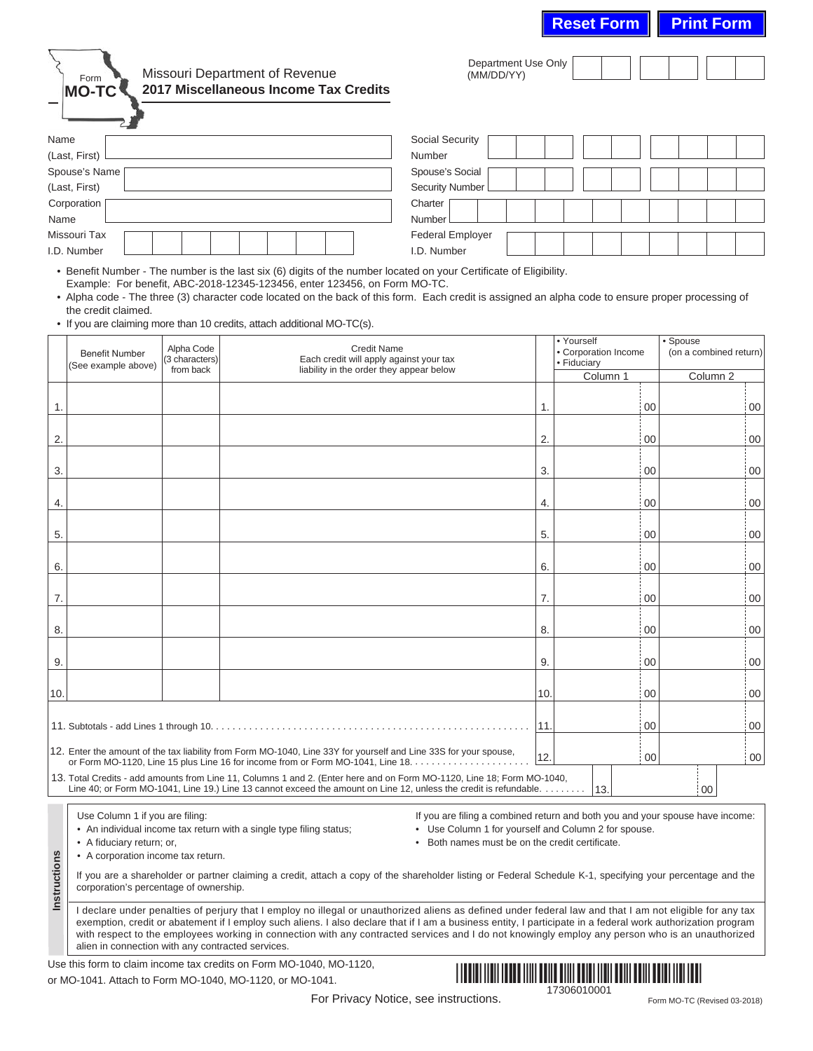Form **MO-TC**

## Missouri Department of Revenue **2017 Miscellaneous Income Tax Credits**

| $-$           |                         |
|---------------|-------------------------|
| Name          | <b>Social Security</b>  |
| (Last, First) | Number                  |
| Spouse's Name | Spouse's Social         |
| (Last, First) | <b>Security Number</b>  |
| Corporation [ | Charter                 |
| Name          | Number                  |
| Missouri Tax  | <b>Federal Employer</b> |
| I.D. Number   | I.D. Number             |
|               |                         |

Department Use Only (MM/DD/YY)

• Benefit Number - The number is the last six (6) digits of the number located on your Certificate of Eligibility. Example: For benefit, ABC-2018-12345-123456, enter 123456, on Form MO-TC.

• Alpha code - The three (3) character code located on the back of this form. Each credit is assigned an alpha code to ensure proper processing of the credit claimed.

• If you are claiming more than 10 credits, attach additional MO-TC(s).

|                                                                                                                  | <b>Benefit Number</b><br>(See example above)                                                                                                                                                                                                              | Alpha Code<br>(3 characters)<br>from back | <b>Credit Name</b><br>Each credit will apply against your tax<br>liability in the order they appear below |     | • Yourself<br>• Corporation Income<br>· Fiduciary | • Spouse<br>(on a combined return) |  |  |  |
|------------------------------------------------------------------------------------------------------------------|-----------------------------------------------------------------------------------------------------------------------------------------------------------------------------------------------------------------------------------------------------------|-------------------------------------------|-----------------------------------------------------------------------------------------------------------|-----|---------------------------------------------------|------------------------------------|--|--|--|
|                                                                                                                  |                                                                                                                                                                                                                                                           |                                           |                                                                                                           |     | Column 1                                          | Column <sub>2</sub>                |  |  |  |
| 1.                                                                                                               |                                                                                                                                                                                                                                                           |                                           |                                                                                                           | 1.  | 00                                                | 00                                 |  |  |  |
| 2.                                                                                                               |                                                                                                                                                                                                                                                           |                                           |                                                                                                           | 2.  | : 00                                              | 00                                 |  |  |  |
| 3.                                                                                                               |                                                                                                                                                                                                                                                           |                                           |                                                                                                           | 3.  | i 00                                              | 00                                 |  |  |  |
| 4.                                                                                                               |                                                                                                                                                                                                                                                           |                                           |                                                                                                           | 4.  | : 00                                              | 00                                 |  |  |  |
| 5.                                                                                                               |                                                                                                                                                                                                                                                           |                                           |                                                                                                           | 5.  | i 00                                              | 00                                 |  |  |  |
| 6.                                                                                                               |                                                                                                                                                                                                                                                           |                                           |                                                                                                           | 6.  | i 00                                              | 00                                 |  |  |  |
| 7.                                                                                                               |                                                                                                                                                                                                                                                           |                                           |                                                                                                           | 7.  | : 00                                              | 00                                 |  |  |  |
| 8.                                                                                                               |                                                                                                                                                                                                                                                           |                                           |                                                                                                           | 8.  | $\frac{1}{2}00$                                   | 00                                 |  |  |  |
| 9.                                                                                                               |                                                                                                                                                                                                                                                           |                                           |                                                                                                           | 9.  | 00                                                | 00                                 |  |  |  |
| 10.                                                                                                              |                                                                                                                                                                                                                                                           |                                           |                                                                                                           | 10. | : 00                                              | 00                                 |  |  |  |
|                                                                                                                  |                                                                                                                                                                                                                                                           |                                           |                                                                                                           | 11. | 00                                                | 00                                 |  |  |  |
| 12. Enter the amount of the tax liability from Form MO-1040, Line 33Y for yourself and Line 33S for your spouse, | 00                                                                                                                                                                                                                                                        |                                           |                                                                                                           |     |                                                   |                                    |  |  |  |
|                                                                                                                  | 13. Total Credits - add amounts from Line 11, Columns 1 and 2. (Enter here and on Form MO-1120, Line 18; Form MO-1040,<br>Line 40; or Form MO-1041, Line 19.) Line 13 cannot exceed the amount on Line 12, unless the credit is refundable.<br> 13.<br>00 |                                           |                                                                                                           |     |                                                   |                                    |  |  |  |

Use Column 1 if you are filing:

• An individual income tax return with a single type filing status;

• A fiduciary return; or,

**Instructions**

Instructions

If you are filing a combined return and both you and your spouse have income:

• Use Column 1 for yourself and Column 2 for spouse.

• Both names must be on the credit certificate.

• A corporation income tax return.

If you are a shareholder or partner claiming a credit, attach a copy of the shareholder listing or Federal Schedule K-1, specifying your percentage and the corporation's percentage of ownership.

I declare under penalties of perjury that I employ no illegal or unauthorized aliens as defined under federal law and that I am not eligible for any tax exemption, credit or abatement if I employ such aliens. I also declare that if I am a business entity, I participate in a federal work authorization program with respect to the employees working in connection with any contracted services and I do not knowingly employ any person who is an unauthorized alien in connection with any contracted services.

Use this form to claim income tax credits on Form MO-1040, MO-1120, or MO-1041. Attach to Form MO-1040, MO-1120, or MO-1041.



For Privacy Notice, see instructions.

Form MO-TC (Revised 03-2018)